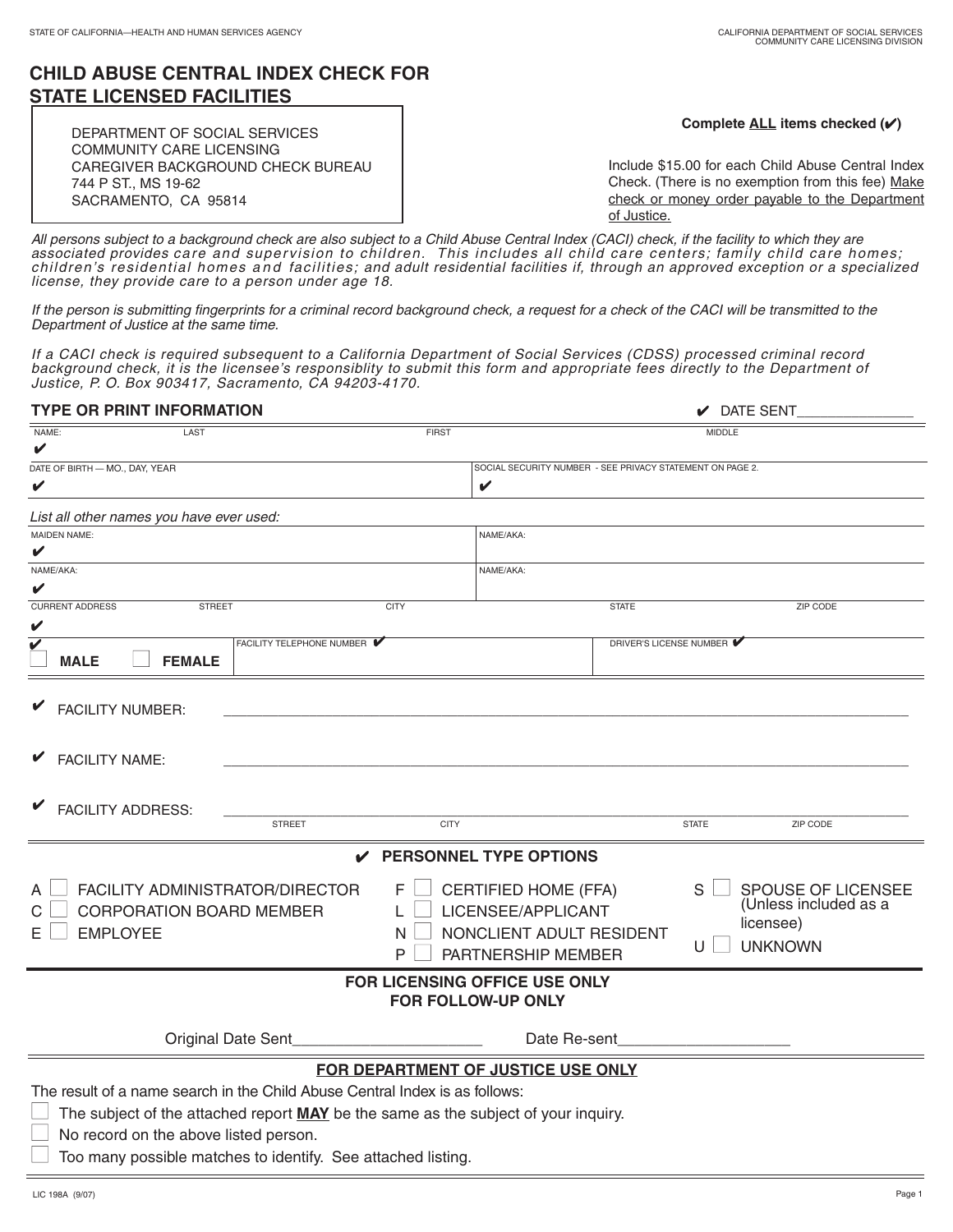## **CHILD ABUSE CENTRAL INDEX CHECK FOR STATE LICENSED FACILITIES** ٦

| DEPARTMENT OF SOCIAL SERVICES<br><b>COMMUNITY CARE LICENSING</b> | Complete ALL items checked $(\checkmark)$          |
|------------------------------------------------------------------|----------------------------------------------------|
| CAREGIVER BACKGROUND CHECK BUREAU                                | Include \$15.00 for each Child Abuse Central Index |
| 744 P ST., MS 19-62                                              | Check. (There is no exemption from this fee) Make  |
| SACRAMENTO, CA 95814                                             | check or money order payable to the Department     |
|                                                                  | of Justice.                                        |

All persons subject to a background check are also subject to a Child Abuse Central Index (CACI) check, if the facility to which they are associated provides care and supervision to children. This includes all child care centers; family child care homes; children's residential homes and facilities; and adult residential facilities if, through an approved exception or a specialized license, they provide care to a person under age 18.

If the person is submitting fingerprints for a criminal record background check, a request for a check of the CACI will be transmitted to the Department of Justice at the same time.

If a CACI check is required subsequent to a California Department of Social Services (CDSS) processed criminal record background check, it is the licensee's responsiblity to submit this form and appropriate fees directly to the Department of Justice, P. O. Box 903417, Sacramento, CA 94203-4170.

| <b>TYPE OR PRINT INFORMATION</b>                                                                     | $\mathcal V$ DATE SENT                                    |  |
|------------------------------------------------------------------------------------------------------|-----------------------------------------------------------|--|
| <b>FIRST</b><br>NAME:<br>LAST                                                                        | <b>MIDDLE</b>                                             |  |
| V                                                                                                    |                                                           |  |
| DATE OF BIRTH - MO., DAY, YEAR                                                                       | SOCIAL SECURITY NUMBER - SEE PRIVACY STATEMENT ON PAGE 2. |  |
| V                                                                                                    | V                                                         |  |
| List all other names you have ever used:                                                             |                                                           |  |
| <b>MAIDEN NAME:</b>                                                                                  | NAME/AKA:                                                 |  |
|                                                                                                      |                                                           |  |
| NAME/AKA:                                                                                            | NAME/AKA:                                                 |  |
|                                                                                                      |                                                           |  |
| <b>CURRENT ADDRESS</b><br><b>STREET</b><br><b>CITY</b>                                               | <b>STATE</b><br><b>ZIP CODE</b>                           |  |
| V                                                                                                    |                                                           |  |
| FACILITY TELEPHONE NUMBER<br>V<br><b>MALE</b>                                                        | DRIVER'S LICENSE NUMBER                                   |  |
| <b>FEMALE</b>                                                                                        |                                                           |  |
|                                                                                                      |                                                           |  |
| <b>FACILITY NUMBER:</b>                                                                              |                                                           |  |
|                                                                                                      |                                                           |  |
| <b>FACILITY NAME:</b>                                                                                |                                                           |  |
|                                                                                                      |                                                           |  |
|                                                                                                      |                                                           |  |
| <b>FACILITY ADDRESS:</b>                                                                             |                                                           |  |
| <b>STREET</b><br><b>CITY</b>                                                                         | <b>STATE</b><br>ZIP CODE                                  |  |
| $\mathcal V$ PERSONNEL TYPE OPTIONS                                                                  |                                                           |  |
| FACILITY ADMINISTRATOR/DIRECTOR<br><b>CERTIFIED HOME (FFA)</b><br>S<br>SPOUSE OF LICENSEE<br>F.<br>А |                                                           |  |
|                                                                                                      | (Unless included as a                                     |  |
| CORPORATION BOARD MEMBER<br>C                                                                        | LICENSEE/APPLICANT<br>licensee)                           |  |
| <b>EMPLOYEE</b><br>N<br>Е                                                                            | NONCLIENT ADULT RESIDENT<br><b>UNKNOWN</b><br>U           |  |
| P                                                                                                    | PARTNERSHIP MEMBER                                        |  |
| FOR LICENSING OFFICE USE ONLY                                                                        |                                                           |  |
| FOR FOLLOW-UP ONLY                                                                                   |                                                           |  |
| Original Date Sent                                                                                   | Date Re-sent                                              |  |
|                                                                                                      |                                                           |  |
| FOR DEPARTMENT OF JUSTICE USE ONLY                                                                   |                                                           |  |
| The result of a name search in the Child Abuse Central Index is as follows:                          |                                                           |  |
| The subject of the attached report MAY be the same as the subject of your inquiry.                   |                                                           |  |
| No record on the above listed person.                                                                |                                                           |  |
| Too many possible matches to identify. See attached listing.                                         |                                                           |  |
|                                                                                                      |                                                           |  |